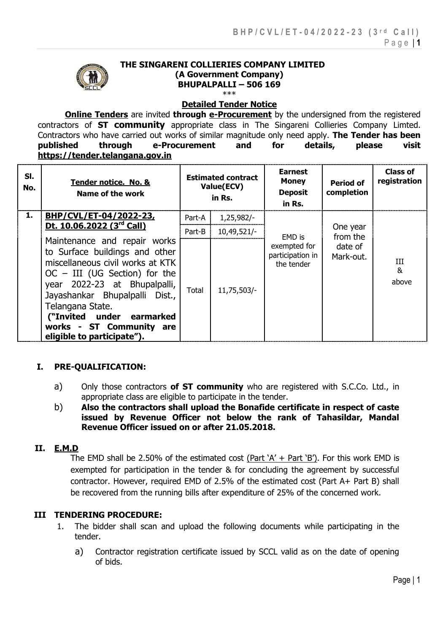

#### **THE SINGARENI COLLIERIES COMPANY LIMITED (A Government Company) BHUPALPALLI – 506 169** \*\*\*

# **Detailed Tender Notice**

**Online Tenders** are invited **through e-Procurement** by the undersigned from the registered contractors of **ST community** appropriate class in The Singareni Collieries Company Limted. Contractors who have carried out works of similar magnitude only need apply. **The Tender has been published through e-Procurement and for details, please visit [https://tender.telangana.gov.in](https://tender.eprocurement.gov.in/)**

| SI.<br>No. | Tender notice. No. &<br>Name of the work                                                                                                                                                                                                                                                                                 | <b>Estimated contract</b><br><b>Value(ECV)</b><br>in Rs. |             | <b>Earnest</b><br><b>Money</b><br><b>Deposit</b><br>in Rs. | <b>Period of</b><br>completion               | <b>Class of</b><br>registration |
|------------|--------------------------------------------------------------------------------------------------------------------------------------------------------------------------------------------------------------------------------------------------------------------------------------------------------------------------|----------------------------------------------------------|-------------|------------------------------------------------------------|----------------------------------------------|---------------------------------|
| 1.         | BHP/CVL/ET-04/2022-23,<br>Dt. 10.06.2022 ( $3^{rd}$ Call)                                                                                                                                                                                                                                                                | Part-A                                                   | 1,25,982/-  | EMD is<br>exempted for<br>participation in<br>the tender   | One year<br>from the<br>date of<br>Mark-out. | III<br>&<br>above               |
|            |                                                                                                                                                                                                                                                                                                                          | Part-B                                                   | 10,49,521/- |                                                            |                                              |                                 |
|            | Maintenance and repair works<br>to Surface buildings and other<br>miscellaneous civil works at KTK<br>$OC - III$ (UG Section) for the<br>year 2022-23 at Bhupalpalli,<br>Jayashankar Bhupalpalli<br>Dist.,<br>Telangana State.<br>("Invited under earmarked<br>works - ST Community<br>are<br>eligible to participate"). | Total                                                    | 11,75,503/- |                                                            |                                              |                                 |

## **I. PRE-QUALIFICATION:**

- a) Only those contractors **of ST community** who are registered with S.C.Co. Ltd., in appropriate class are eligible to participate in the tender.
- b) **Also the contractors shall upload the Bonafide certificate in respect of caste issued by Revenue Officer not below the rank of Tahasildar, Mandal Revenue Officer issued on or after 21.05.2018.**

### **II. E.M.D**

The EMD shall be 2.50% of the estimated cost (Part  $A' +$  Part  $B'$ ). For this work EMD is exempted for participation in the tender & for concluding the agreement by successful contractor. However, required EMD of 2.5% of the estimated cost (Part A+ Part B) shall be recovered from the running bills after expenditure of 25% of the concerned work.

## **III TENDERING PROCEDURE:**

- 1. The bidder shall scan and upload the following documents while participating in the tender.
	- a) Contractor registration certificate issued by SCCL valid as on the date of opening of bids.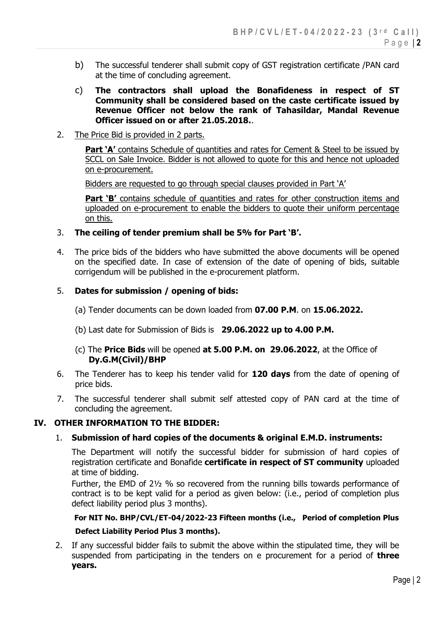- b) The successful tenderer shall submit copy of GST registration certificate /PAN card at the time of concluding agreement.
- c) **The contractors shall upload the Bonafideness in respect of ST Community shall be considered based on the caste certificate issued by Revenue Officer not below the rank of Tahasildar, Mandal Revenue Officer issued on or after 21.05.2018.**.
- 2. The Price Bid is provided in 2 parts.

**Part 'A'** contains Schedule of quantities and rates for Cement & Steel to be issued by SCCL on Sale Invoice. Bidder is not allowed to quote for this and hence not uploaded on e-procurement.

Bidders are requested to go through special clauses provided in Part 'A'

**Part 'B'** contains schedule of quantities and rates for other construction items and uploaded on e-procurement to enable the bidders to quote their uniform percentage on this.

## 3. **The ceiling of tender premium shall be 5% for Part 'B'.**

4. The price bids of the bidders who have submitted the above documents will be opened on the specified date. In case of extension of the date of opening of bids, suitable corrigendum will be published in the e-procurement platform.

## 5. **Dates for submission / opening of bids:**

(a) Tender documents can be down loaded from **07.00 P.M**. on **15.06.2022.** 

- (b) Last date for Submission of Bids is **29.06.2022 up to 4.00 P.M.**
- (c) The **Price Bids** will be opened **at 5.00 P.M. on 29.06.2022**, at the Office of **Dy.G.M(Civil)/BHP**
- 6. The Tenderer has to keep his tender valid for **120 days** from the date of opening of price bids.
- 7. The successful tenderer shall submit self attested copy of PAN card at the time of concluding the agreement.

## **IV. OTHER INFORMATION TO THE BIDDER:**

### 1. **Submission of hard copies of the documents & original E.M.D. instruments:**

The Department will notify the successful bidder for submission of hard copies of registration certificate and Bonafide **certificate in respect of ST community** uploaded at time of bidding.

Further, the EMD of 2½ % so recovered from the running bills towards performance of contract is to be kept valid for a period as given below: (i.e., period of completion plus defect liability period plus 3 months).

### **For NIT No. BHP/CVL/ET-04/2022-23 Fifteen months (i.e., Period of completion Plus**

### **Defect Liability Period Plus 3 months).**

2. If any successful bidder fails to submit the above within the stipulated time, they will be suspended from participating in the tenders on e procurement for a period of **three years.**